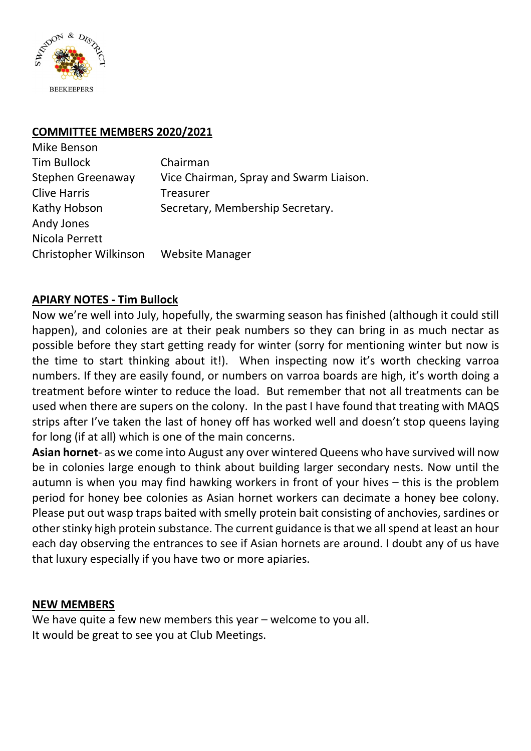

### **COMMITTEE MEMBERS 2020/2021**

| Mike Benson           |                                         |
|-----------------------|-----------------------------------------|
| Tim Bullock           | Chairman                                |
| Stephen Greenaway     | Vice Chairman, Spray and Swarm Liaison. |
| <b>Clive Harris</b>   | <b>Treasurer</b>                        |
| Kathy Hobson          | Secretary, Membership Secretary.        |
| Andy Jones            |                                         |
| Nicola Perrett        |                                         |
| Christopher Wilkinson | <b>Website Manager</b>                  |

### **APIARY NOTES - Tim Bullock**

Now we're well into July, hopefully, the swarming season has finished (although it could still happen), and colonies are at their peak numbers so they can bring in as much nectar as possible before they start getting ready for winter (sorry for mentioning winter but now is the time to start thinking about it!). When inspecting now it's worth checking varroa numbers. If they are easily found, or numbers on varroa boards are high, it's worth doing a treatment before winter to reduce the load. But remember that not all treatments can be used when there are supers on the colony. In the past I have found that treating with MAQS strips after I've taken the last of honey off has worked well and doesn't stop queens laying for long (if at all) which is one of the main concerns.

**Asian hornet**- as we come into August any over wintered Queens who have survived will now be in colonies large enough to think about building larger secondary nests. Now until the autumn is when you may find hawking workers in front of your hives – this is the problem period for honey bee colonies as Asian hornet workers can decimate a honey bee colony. Please put out wasp traps baited with smelly protein bait consisting of anchovies, sardines or other stinky high protein substance. The current guidance is that we all spend at least an hour each day observing the entrances to see if Asian hornets are around. I doubt any of us have that luxury especially if you have two or more apiaries.

### **NEW MEMBERS**

We have quite a few new members this year – welcome to you all. It would be great to see you at Club Meetings.